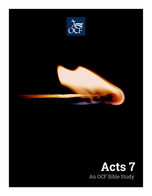

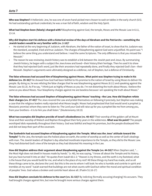**Who was Stephen?** A Hellenistic Jew, he was one of seven hand-picked men chosen to wait on tables in the early church (6:5). He had outstanding spiritual credentials; he was a man full of faith, wisdom and the Holy Spirit.

**What had Stephen been (falsely) charged with?** Blaspheming against God, the temple, Moses and the Mosaic Law in 6:11, 13-14.

## **Why did Stephen start his defense with a historical review of the days of Abraham and the Patriarchs—something the Jewish leaders would be very familiar with (vv. 2-16)?**

- He started at the very beginning of Judaism, with Abraham, the father of the nation of Israel, to show that his Judaism was the standard, accepted, tried and true Judaism. The charges of blaspheming against God were unjustified. His point was "I believe the same thing you understand and believe. I read the same Scriptures. The only difference is that you missed the Messiah."
- The reason he was reviewing Jewish history was to establish a link between the Jewish past and Jesus. By summarizing Jewish history, he began with a subject the Jews knew and loved—their history/their heritage. Then he used it to show that they had rejected God's word, just like their ancestors had repeatedly done, and finally they rejected God's Son—their Messiah. Stephen's arguments were ultimately designed as a defense, not of Stephen, but a defense of Christianity.

**The false witnesses had accused him of blaspheming against Moses. What point was Stephen trying to make in his defense (vv. 35-36)?** He showed how God had been faithful to His promise to the nation of Israel by using Moses to deliver His people. By doing so, he was refuting the false charges that he was blaspheming against Moses (6:11) and speaking against the Mosaic Law (6:13). As if to say, "I think just as highly of Moses as you do. I'm not distorting the truth about Moses. I believe the same as you about Moses. Your blasphemy charges against me are baseless because I am speaking the truth about Moses."

**The false witnesses had accused Stephen of blaspheming against Moses' teaching—the Law. How did Stephen refute their charges (vv. 37-43)?** The Jews revered the Law and prided themselves on following it precisely, but Stephen was making a case that the religious leaders really rejected what Moses taught. Moses had prophesized that God would send a prophet (a Messianic promise) whom they were to listen to: The Lord your God will raise up for you a prophet like me from among you, from your brothers—it is to him you shall listen." (Deuteronomy 18:15)

**What two examples did Stephen provide of Israel's disobedience (vv. 40-43)?** Their worship of the golden calf at Mount Sinai and their worship of Moloch and Rephan throughout their forty years in the wilderness. **What was his point?** The people worshiped idols repeatedly throughout their history. God was faithful and kept His promises, but the people disobeyed Him and did not keep their part of the covenant.

**The Sanhedrin had accused Stephen of blaspheming against the Temple. What was the Jews' attitude toward the Temple?** To the Jew, the temple was the holiest place on earth, the center of worship as well as the center of God's dealings with man. The Jewish leaders of Stephen's day attached inordinate importance to the Temple, as they did to the Mosaic Law. They had distorted God's view of the temple as they had distorted His meaning in the Law.

**How did Stephen address their argument about blaspheming against the Temple (vv. 44-50)?** When Stephen said, "… the Most High does not dwell in houses made by hands." (v. 48), he was saying, "I know all about the Temple and its history, but you have turned it into an idol." He quotes from Isaiah 66:1-2: "Heaven is my throne, and the earth is my footstool; what is the house that you would build for me, and what is the place of my rest? All these things my hand has made, and so all these things came to be, declares the Lord. But this is the one to whom I will look: he who is humble and contrite in spirit and trembles at my word." Isaiah warned that buildings are not what counts with God but rather the moral and spiritual condition of peoples' lives. God values a broken and contrite heart above all. (Psalm 51:16-17)

**How did Stephen conclude his defense to the court (vv. 51-53)?** By indicting (formally accusing/charging) his accusers. They had brought charges against him, but now he brought more serious charges against them.